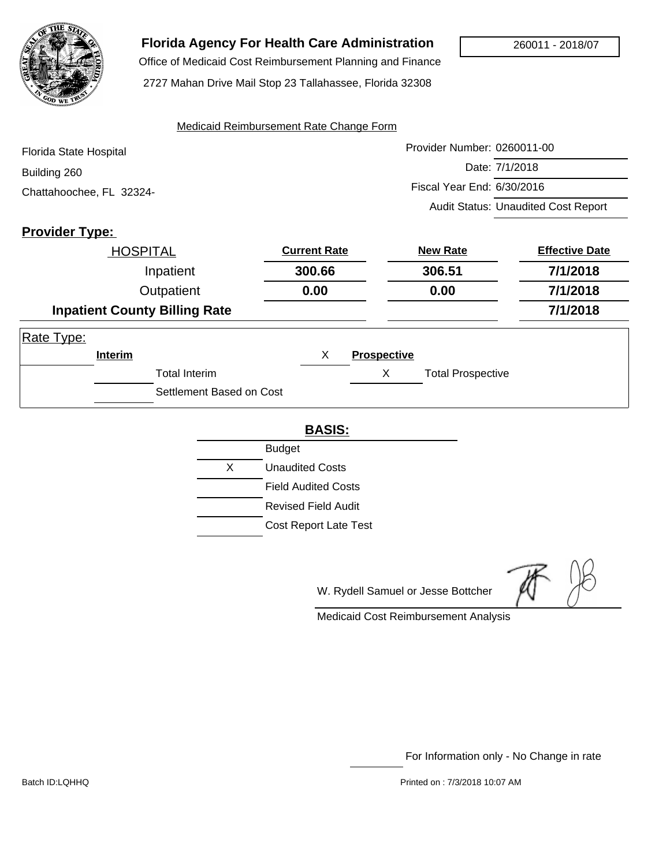

## **Florida Agency For Health Care Administration**

Office of Medicaid Cost Reimbursement Planning and Finance

2727 Mahan Drive Mail Stop 23 Tallahassee, Florida 32308

#### Medicaid Reimbursement Rate Change Form

| Florida State Hospital   | Provider Number: 0260011-00                |
|--------------------------|--------------------------------------------|
| Building 260             | Date: 7/1/2018                             |
| Chattahoochee, FL 32324- | Fiscal Year End: 6/30/2016                 |
|                          | <b>Audit Status: Unaudited Cost Report</b> |

## **Provider Type:**

|            | <b>HOSPITAL</b> |                                      | <b>Current Rate</b> |                    | <b>New Rate</b>          | <b>Effective Date</b> |
|------------|-----------------|--------------------------------------|---------------------|--------------------|--------------------------|-----------------------|
|            |                 | Inpatient                            | 300.66              |                    | 306.51                   | 7/1/2018              |
|            |                 | Outpatient                           | 0.00                |                    | 0.00                     | 7/1/2018              |
|            |                 | <b>Inpatient County Billing Rate</b> |                     |                    |                          | 7/1/2018              |
| Rate Type: |                 |                                      |                     |                    |                          |                       |
|            | Interim         |                                      | X                   | <b>Prospective</b> |                          |                       |
|            |                 | <b>Total Interim</b>                 |                     | Χ                  | <b>Total Prospective</b> |                       |
|            |                 | Settlement Based on Cost             |                     |                    |                          |                       |

#### **BASIS:**

|   | <b>Budget</b>                |  |  |
|---|------------------------------|--|--|
| X | Unaudited Costs              |  |  |
|   | <b>Field Audited Costs</b>   |  |  |
|   | Revised Field Audit          |  |  |
|   | <b>Cost Report Late Test</b> |  |  |

W. Rydell Samuel or Jesse Bottcher

Medicaid Cost Reimbursement Analysis

For Information only - No Change in rate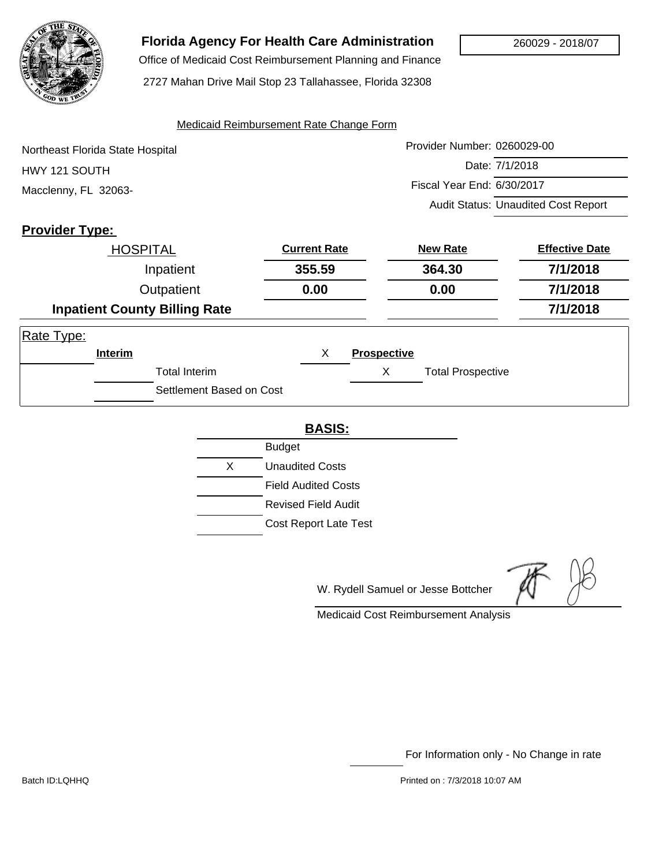

# **Florida Agency For Health Care Administration**

 Office of Medicaid Cost Reimbursement Planning and Finance 2727 Mahan Drive Mail Stop 23 Tallahassee, Florida 32308

#### Medicaid Reimbursement Rate Change Form

Provider Number: 0260029-00 Date: 7/1/2018 Fiscal Year End: 6/30/2017 Audit Status: Unaudited Cost Report Northeast Florida State Hospital HWY 121 SOUTH Macclenny, FL 32063-

## **Provider Type:**

|            | <b>HOSPITAL</b> |                                      | <b>Current Rate</b> | <b>New Rate</b>    |                          | <b>Effective Date</b> |
|------------|-----------------|--------------------------------------|---------------------|--------------------|--------------------------|-----------------------|
|            |                 | Inpatient                            | 355.59              |                    | 364.30                   | 7/1/2018              |
| Outpatient |                 | 0.00                                 |                     | 0.00               | 7/1/2018                 |                       |
|            |                 | <b>Inpatient County Billing Rate</b> |                     |                    |                          | 7/1/2018              |
| Rate Type: |                 |                                      |                     |                    |                          |                       |
|            | Interim         |                                      | х                   | <b>Prospective</b> |                          |                       |
|            |                 | <b>Total Interim</b>                 |                     | Χ                  | <b>Total Prospective</b> |                       |
|            |                 | Settlement Based on Cost             |                     |                    |                          |                       |

#### **BASIS:**

|    | <b>Budget</b>                |
|----|------------------------------|
| X. | <b>Unaudited Costs</b>       |
|    | <b>Field Audited Costs</b>   |
|    | <b>Revised Field Audit</b>   |
|    | <b>Cost Report Late Test</b> |

W. Rydell Samuel or Jesse Bottcher

Medicaid Cost Reimbursement Analysis

For Information only - No Change in rate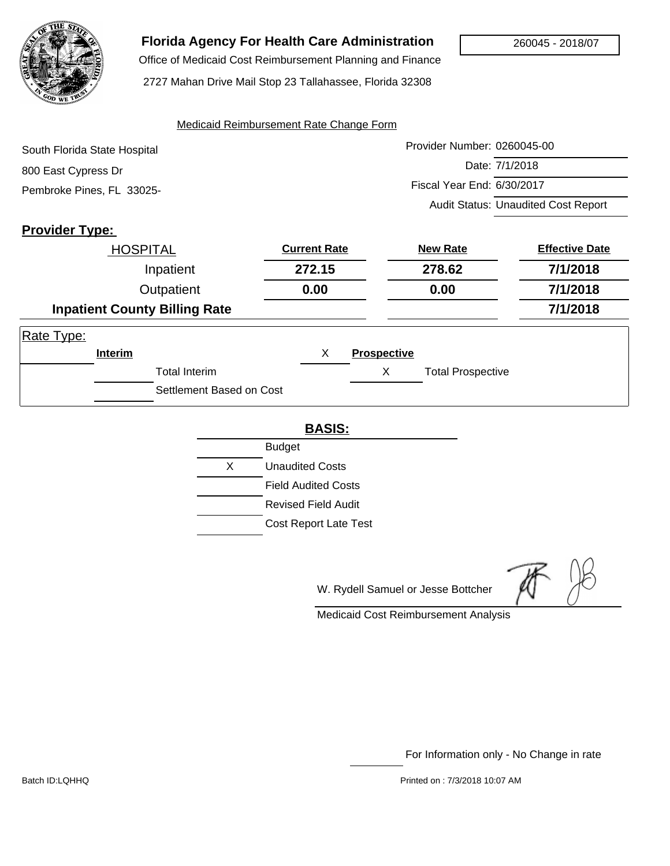

# **Florida Agency For Health Care Administration**

 Office of Medicaid Cost Reimbursement Planning and Finance 2727 Mahan Drive Mail Stop 23 Tallahassee, Florida 32308

#### Medicaid Reimbursement Rate Change Form

| South Florida State Hospital | Provider Number: 0260045-00                |
|------------------------------|--------------------------------------------|
| 800 East Cypress Dr          | Date: 7/1/2018                             |
| Pembroke Pines, FL 33025-    | Fiscal Year End: 6/30/2017                 |
|                              | <b>Audit Status: Unaudited Cost Report</b> |

## **Provider Type:**

|            | <b>HOSPITAL</b>    |                                      | <b>Current Rate</b> |                    | <b>New Rate</b>          | <b>Effective Date</b> |
|------------|--------------------|--------------------------------------|---------------------|--------------------|--------------------------|-----------------------|
|            |                    | Inpatient                            | 272.15              |                    | 278.62                   | 7/1/2018              |
|            | Outpatient<br>0.00 |                                      |                     | 0.00               | 7/1/2018                 |                       |
|            |                    | <b>Inpatient County Billing Rate</b> |                     |                    |                          | 7/1/2018              |
| Rate Type: |                    |                                      |                     |                    |                          |                       |
|            | Interim            |                                      | X                   | <b>Prospective</b> |                          |                       |
|            |                    | <b>Total Interim</b>                 |                     | X                  | <b>Total Prospective</b> |                       |
|            |                    | Settlement Based on Cost             |                     |                    |                          |                       |

### **BASIS:**

|    | <b>Budget</b>                |
|----|------------------------------|
| X. | <b>Unaudited Costs</b>       |
|    | <b>Field Audited Costs</b>   |
|    | Revised Field Audit          |
|    | <b>Cost Report Late Test</b> |

W. Rydell Samuel or Jesse Bottcher

Medicaid Cost Reimbursement Analysis

For Information only - No Change in rate